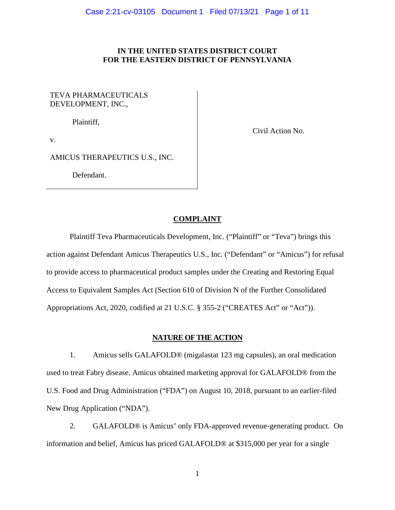## **IN THE UNITED STATES DISTRICT COURT FOR THE EASTERN DISTRICT OF PENNSYLVANIA**

# TEVA PHARMACEUTICALS DEVELOPMENT, INC.,

Plaintiff,

Civil Action No.

v.

AMICUS THERAPEUTICS U.S., INC.

Defendant.

### **COMPLAINT**

Plaintiff Teva Pharmaceuticals Development, Inc. ("Plaintiff" or "Teva") brings this action against Defendant Amicus Therapeutics U.S., Inc. ("Defendant" or "Amicus") for refusal to provide access to pharmaceutical product samples under the Creating and Restoring Equal Access to Equivalent Samples Act (Section 610 of Division N of the Further Consolidated Appropriations Act, 2020, codified at 21 U.S.C. § 355-2 ("CREATES Act" or "Act")).

## **NATURE OF THE ACTION**

1. Amicus sells GALAFOLD® (migalastat 123 mg capsules), an oral medication used to treat Fabry disease. Amicus obtained marketing approval for GALAFOLD® from the U.S. Food and Drug Administration ("FDA") on August 10, 2018, pursuant to an earlier-filed New Drug Application ("NDA").

2. GALAFOLD® is Amicus' only FDA-approved revenue-generating product. On information and belief, Amicus has priced GALAFOLD® at \$315,000 per year for a single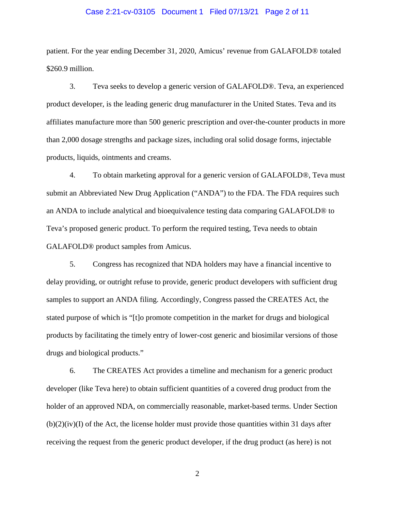### Case 2:21-cv-03105 Document 1 Filed 07/13/21 Page 2 of 11

patient. For the year ending December 31, 2020, Amicus' revenue from GALAFOLD® totaled \$260.9 million.

3. Teva seeks to develop a generic version of GALAFOLD®. Teva, an experienced product developer, is the leading generic drug manufacturer in the United States. Teva and its affiliates manufacture more than 500 generic prescription and over-the-counter products in more than 2,000 dosage strengths and package sizes, including oral solid dosage forms, injectable products, liquids, ointments and creams.

4. To obtain marketing approval for a generic version of GALAFOLD®, Teva must submit an Abbreviated New Drug Application ("ANDA") to the FDA. The FDA requires such an ANDA to include analytical and bioequivalence testing data comparing GALAFOLD® to Teva's proposed generic product. To perform the required testing, Teva needs to obtain GALAFOLD® product samples from Amicus.

5. Congress has recognized that NDA holders may have a financial incentive to delay providing, or outright refuse to provide, generic product developers with sufficient drug samples to support an ANDA filing. Accordingly, Congress passed the CREATES Act, the stated purpose of which is "[t]o promote competition in the market for drugs and biological products by facilitating the timely entry of lower-cost generic and biosimilar versions of those drugs and biological products."

6. The CREATES Act provides a timeline and mechanism for a generic product developer (like Teva here) to obtain sufficient quantities of a covered drug product from the holder of an approved NDA, on commercially reasonable, market-based terms. Under Section  $(b)(2)(iv)(I)$  of the Act, the license holder must provide those quantities within 31 days after receiving the request from the generic product developer, if the drug product (as here) is not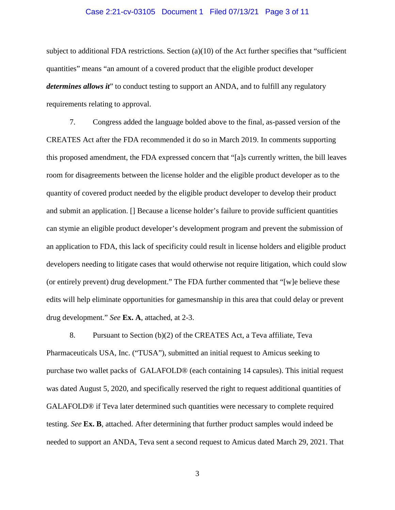### Case 2:21-cv-03105 Document 1 Filed 07/13/21 Page 3 of 11

subject to additional FDA restrictions. Section  $(a)(10)$  of the Act further specifies that "sufficient" quantities" means "an amount of a covered product that the eligible product developer *determines allows it*" to conduct testing to support an ANDA, and to fulfill any regulatory requirements relating to approval.

7. Congress added the language bolded above to the final, as-passed version of the CREATES Act after the FDA recommended it do so in March 2019. In comments supporting this proposed amendment, the FDA expressed concern that "[a]s currently written, the bill leaves room for disagreements between the license holder and the eligible product developer as to the quantity of covered product needed by the eligible product developer to develop their product and submit an application. [] Because a license holder's failure to provide sufficient quantities can stymie an eligible product developer's development program and prevent the submission of an application to FDA, this lack of specificity could result in license holders and eligible product developers needing to litigate cases that would otherwise not require litigation, which could slow (or entirely prevent) drug development." The FDA further commented that "[w]e believe these edits will help eliminate opportunities for gamesmanship in this area that could delay or prevent drug development." *See* **Ex. A**, attached, at 2-3.

8. Pursuant to Section (b)(2) of the CREATES Act, a Teva affiliate, Teva Pharmaceuticals USA, Inc. ("TUSA"), submitted an initial request to Amicus seeking to purchase two wallet packs of GALAFOLD® (each containing 14 capsules). This initial request was dated August 5, 2020, and specifically reserved the right to request additional quantities of GALAFOLD® if Teva later determined such quantities were necessary to complete required testing. *See* **Ex. B**, attached. After determining that further product samples would indeed be needed to support an ANDA, Teva sent a second request to Amicus dated March 29, 2021. That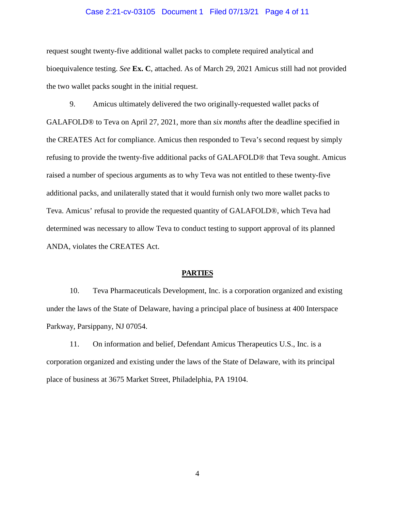#### Case 2:21-cv-03105 Document 1 Filed 07/13/21 Page 4 of 11

request sought twenty-five additional wallet packs to complete required analytical and bioequivalence testing. *See* **Ex. C**, attached. As of March 29, 2021 Amicus still had not provided the two wallet packs sought in the initial request.

9. Amicus ultimately delivered the two originally-requested wallet packs of GALAFOLD® to Teva on April 27, 2021, more than *six months* after the deadline specified in the CREATES Act for compliance. Amicus then responded to Teva's second request by simply refusing to provide the twenty-five additional packs of GALAFOLD® that Teva sought. Amicus raised a number of specious arguments as to why Teva was not entitled to these twenty-five additional packs, and unilaterally stated that it would furnish only two more wallet packs to Teva. Amicus' refusal to provide the requested quantity of GALAFOLD®, which Teva had determined was necessary to allow Teva to conduct testing to support approval of its planned ANDA, violates the CREATES Act.

#### **PARTIES**

10. Teva Pharmaceuticals Development, Inc. is a corporation organized and existing under the laws of the State of Delaware, having a principal place of business at 400 Interspace Parkway, Parsippany, NJ 07054.

11. On information and belief, Defendant Amicus Therapeutics U.S., Inc. is a corporation organized and existing under the laws of the State of Delaware, with its principal place of business at 3675 Market Street, Philadelphia, PA 19104.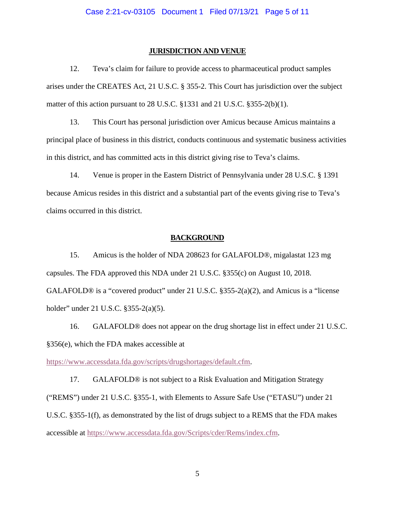#### **JURISDICTION AND VENUE**

12. Teva's claim for failure to provide access to pharmaceutical product samples arises under the CREATES Act, 21 U.S.C. § 355-2. This Court has jurisdiction over the subject matter of this action pursuant to 28 U.S.C. §1331 and 21 U.S.C. §355-2(b)(1).

13. This Court has personal jurisdiction over Amicus because Amicus maintains a principal place of business in this district, conducts continuous and systematic business activities in this district, and has committed acts in this district giving rise to Teva's claims.

14. Venue is proper in the Eastern District of Pennsylvania under 28 U.S.C. § 1391 because Amicus resides in this district and a substantial part of the events giving rise to Teva's claims occurred in this district.

### **BACKGROUND**

15. Amicus is the holder of NDA 208623 for GALAFOLD®, migalastat 123 mg capsules. The FDA approved this NDA under 21 U.S.C. §355(c) on August 10, 2018. GALAFOLD® is a "covered product" under 21 U.S.C. §355-2(a)(2), and Amicus is a "license holder" under 21 U.S.C. §355-2(a)(5).

16. GALAFOLD® does not appear on the drug shortage list in effect under 21 U.S.C. §356(e), which the FDA makes accessible at

[https://www.accessdata.fda.gov/scripts/drugshortages/default.cfm.](https://www.accessdata.fda.gov/scripts/drugshortages/default.cfm)

17. GALAFOLD® is not subject to a Risk Evaluation and Mitigation Strategy ("REMS") under 21 U.S.C. §355-1, with Elements to Assure Safe Use ("ETASU") under 21 U.S.C. §355-1(f), as demonstrated by the list of drugs subject to a REMS that the FDA makes accessible at [https://www.accessdata.fda.gov/Scripts/cder/Rems/index.cfm.](https://www.accessdata.fda.gov/Scripts/cder/Rems/index.cfm)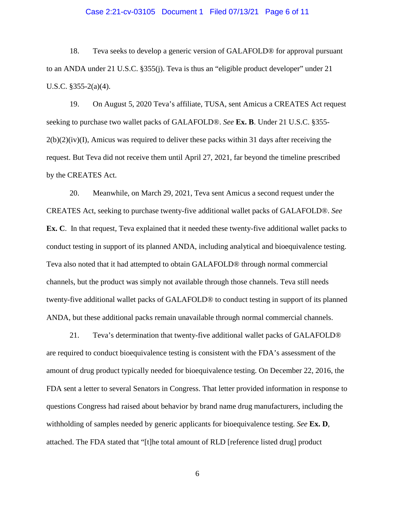### Case 2:21-cv-03105 Document 1 Filed 07/13/21 Page 6 of 11

18. Teva seeks to develop a generic version of GALAFOLD® for approval pursuant to an ANDA under 21 U.S.C. §355(j). Teva is thus an "eligible product developer" under 21 U.S.C. §355-2(a)(4).

19. On August 5, 2020 Teva's affiliate, TUSA, sent Amicus a CREATES Act request seeking to purchase two wallet packs of GALAFOLD®. *See* **Ex. B**. Under 21 U.S.C. §355-  $2(b)(2)(iv)(I)$ , Amicus was required to deliver these packs within 31 days after receiving the request. But Teva did not receive them until April 27, 2021, far beyond the timeline prescribed by the CREATES Act.

20. Meanwhile, on March 29, 2021, Teva sent Amicus a second request under the CREATES Act, seeking to purchase twenty-five additional wallet packs of GALAFOLD®. *See*  **Ex. C**. In that request, Teva explained that it needed these twenty-five additional wallet packs to conduct testing in support of its planned ANDA, including analytical and bioequivalence testing. Teva also noted that it had attempted to obtain GALAFOLD® through normal commercial channels, but the product was simply not available through those channels. Teva still needs twenty-five additional wallet packs of GALAFOLD® to conduct testing in support of its planned ANDA, but these additional packs remain unavailable through normal commercial channels.

21. Teva's determination that twenty-five additional wallet packs of GALAFOLD® are required to conduct bioequivalence testing is consistent with the FDA's assessment of the amount of drug product typically needed for bioequivalence testing. On December 22, 2016, the FDA sent a letter to several Senators in Congress. That letter provided information in response to questions Congress had raised about behavior by brand name drug manufacturers, including the withholding of samples needed by generic applicants for bioequivalence testing. *See* **Ex. D**, attached. The FDA stated that "[t]he total amount of RLD [reference listed drug] product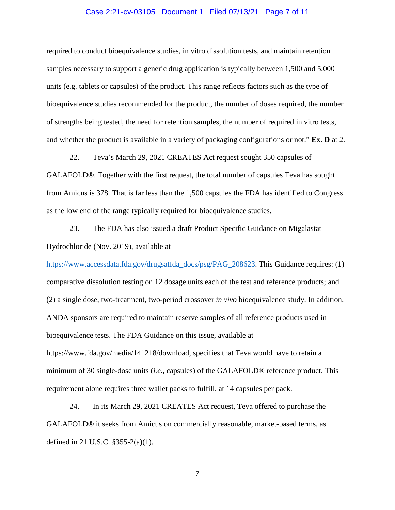### Case 2:21-cv-03105 Document 1 Filed 07/13/21 Page 7 of 11

required to conduct bioequivalence studies, in vitro dissolution tests, and maintain retention samples necessary to support a generic drug application is typically between 1,500 and 5,000 units (e.g. tablets or capsules) of the product. This range reflects factors such as the type of bioequivalence studies recommended for the product, the number of doses required, the number of strengths being tested, the need for retention samples, the number of required in vitro tests, and whether the product is available in a variety of packaging configurations or not." **Ex. D** at 2.

22. Teva's March 29, 2021 CREATES Act request sought 350 capsules of GALAFOLD®. Together with the first request, the total number of capsules Teva has sought from Amicus is 378. That is far less than the 1,500 capsules the FDA has identified to Congress as the low end of the range typically required for bioequivalence studies.

23. The FDA has also issued a draft Product Specific Guidance on Migalastat Hydrochloride (Nov. 2019), available at

[https://www.accessdata.fda.gov/drugsatfda\\_docs/psg/PAG\\_208623.](https://www.accessdata.fda.gov/drugsatfda_docs/psg/PAG_208623) This Guidance requires: (1) comparative dissolution testing on 12 dosage units each of the test and reference products; and (2) a single dose, two-treatment, two-period crossover *in vivo* bioequivalence study. In addition, ANDA sponsors are required to maintain reserve samples of all reference products used in bioequivalence tests. The FDA Guidance on this issue, available at https://www.fda.gov/media/141218/download, specifies that Teva would have to retain a minimum of 30 single-dose units (*i.e.*, capsules) of the GALAFOLD® reference product. This requirement alone requires three wallet packs to fulfill, at 14 capsules per pack.

24. In its March 29, 2021 CREATES Act request, Teva offered to purchase the GALAFOLD® it seeks from Amicus on commercially reasonable, market-based terms, as defined in 21 U.S.C. §355-2(a)(1).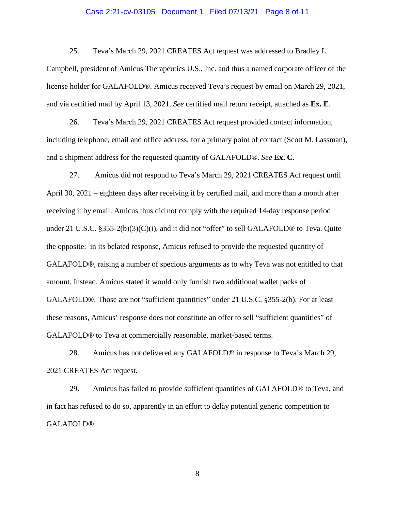### Case 2:21-cv-03105 Document 1 Filed 07/13/21 Page 8 of 11

25. Teva's March 29, 2021 CREATES Act request was addressed to Bradley L. Campbell, president of Amicus Therapeutics U.S., Inc. and thus a named corporate officer of the license holder for GALAFOLD®. Amicus received Teva's request by email on March 29, 2021, and via certified mail by April 13, 2021. *See* certified mail return receipt, attached as **Ex. E**.

26. Teva's March 29, 2021 CREATES Act request provided contact information, including telephone, email and office address, for a primary point of contact (Scott M. Lassman), and a shipment address for the requested quantity of GALAFOLD®. *See* **Ex. C**.

27. Amicus did not respond to Teva's March 29, 2021 CREATES Act request until April 30, 2021 – eighteen days after receiving it by certified mail, and more than a month after receiving it by email. Amicus thus did not comply with the required 14-day response period under 21 U.S.C.  $\S 355-2(b)(3)(C)(i)$ , and it did not "offer" to sell GALAFOLD® to Teva. Quite the opposite: in its belated response, Amicus refused to provide the requested quantity of GALAFOLD®, raising a number of specious arguments as to why Teva was not entitled to that amount. Instead, Amicus stated it would only furnish two additional wallet packs of GALAFOLD®. Those are not "sufficient quantities" under 21 U.S.C. §355-2(b). For at least these reasons, Amicus' response does not constitute an offer to sell "sufficient quantities" of GALAFOLD® to Teva at commercially reasonable, market-based terms.

28. Amicus has not delivered any GALAFOLD® in response to Teva's March 29, 2021 CREATES Act request.

29. Amicus has failed to provide sufficient quantities of GALAFOLD® to Teva, and in fact has refused to do so, apparently in an effort to delay potential generic competition to GALAFOLD®.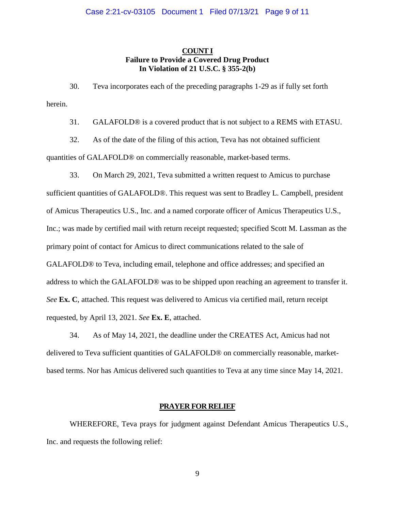# **COUNT I Failure to Provide a Covered Drug Product In Violation of 21 U.S.C. § 355-2(b)**

30. Teva incorporates each of the preceding paragraphs 1-29 as if fully set forth herein.

31. GALAFOLD® is a covered product that is not subject to a REMS with ETASU.

32. As of the date of the filing of this action, Teva has not obtained sufficient quantities of GALAFOLD® on commercially reasonable, market-based terms.

33. On March 29, 2021, Teva submitted a written request to Amicus to purchase sufficient quantities of GALAFOLD®. This request was sent to Bradley L. Campbell, president of Amicus Therapeutics U.S., Inc. and a named corporate officer of Amicus Therapeutics U.S., Inc.; was made by certified mail with return receipt requested; specified Scott M. Lassman as the primary point of contact for Amicus to direct communications related to the sale of GALAFOLD® to Teva, including email, telephone and office addresses; and specified an address to which the GALAFOLD® was to be shipped upon reaching an agreement to transfer it. *See* **Ex. C**, attached. This request was delivered to Amicus via certified mail, return receipt requested, by April 13, 2021. *See* **Ex. E**, attached.

34. As of May 14, 2021, the deadline under the CREATES Act, Amicus had not delivered to Teva sufficient quantities of GALAFOLD® on commercially reasonable, marketbased terms. Nor has Amicus delivered such quantities to Teva at any time since May 14, 2021.

### **PRAYER FOR RELIEF**

WHEREFORE, Teva prays for judgment against Defendant Amicus Therapeutics U.S., Inc. and requests the following relief: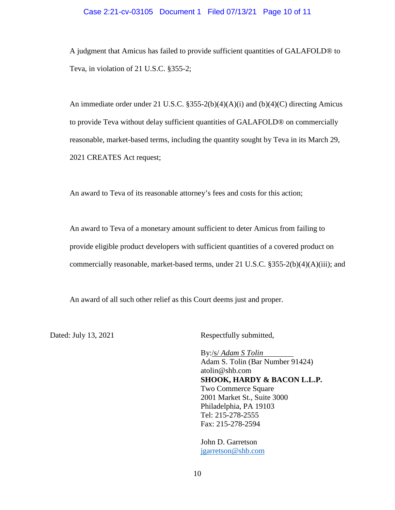### Case 2:21-cv-03105 Document 1 Filed 07/13/21 Page 10 of 11

A judgment that Amicus has failed to provide sufficient quantities of GALAFOLD® to Teva, in violation of 21 U.S.C. §355-2;

An immediate order under 21 U.S.C.  $\S 355-2(b)(4)(A)(i)$  and  $(b)(4)(C)$  directing Amicus to provide Teva without delay sufficient quantities of GALAFOLD® on commercially reasonable, market-based terms, including the quantity sought by Teva in its March 29, 2021 CREATES Act request;

An award to Teva of its reasonable attorney's fees and costs for this action;

An award to Teva of a monetary amount sufficient to deter Amicus from failing to provide eligible product developers with sufficient quantities of a covered product on commercially reasonable, market-based terms, under 21 U.S.C. §355-2(b)(4)(A)(iii); and

An award of all such other relief as this Court deems just and proper.

Dated: July 13, 2021 Respectfully submitted,

By:/s/ *Adam S Tolin*  Adam S. Tolin (Bar Number 91424) atolin@shb.com **SHOOK, HARDY & BACON L.L.P.** Two Commerce Square 2001 Market St., Suite 3000 Philadelphia, PA 19103 Tel: 215-278-2555 Fax: 215-278-2594

John D. Garretson [jgarretson@shb.com](mailto:jgarretson@shb.com)